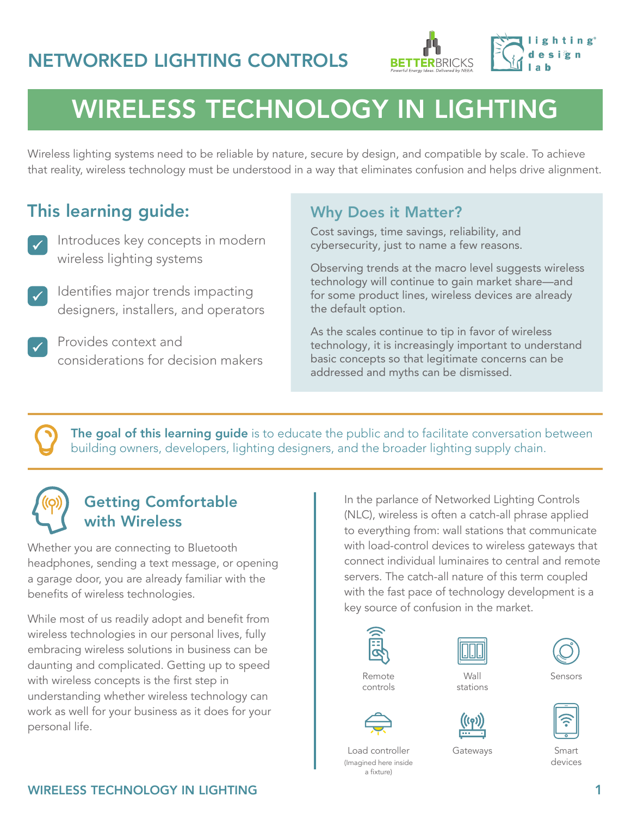



# WIRELESS TECHNOLOGY IN LIGHTING

Wireless lighting systems need to be reliable by nature, secure by design, and compatible by scale. To achieve that reality, wireless technology must be understood in a way that eliminates confusion and helps drive alignment.

## This learning guide:

- Introduces key concepts in modern wireless lighting systems
- Identifies major trends impacting designers, installers, and operators
- Provides context and considerations for decision makers

### Why Does it Matter?

Cost savings, time savings, reliability, and cybersecurity, just to name a few reasons.

Observing trends at the macro level suggests wireless technology will continue to gain market share—and for some product lines, wireless devices are already the default option.

As the scales continue to tip in favor of wireless technology, it is increasingly important to understand basic concepts so that legitimate concerns can be addressed and myths can be dismissed.

The goal of this learning guide is to educate the public and to facilitate conversation between building owners, developers, lighting designers, and the broader lighting supply chain.

### Getting Comfortable with Wireless

Whether you are connecting to Bluetooth headphones, sending a text message, or opening a garage door, you are already familiar with the benefits of wireless technologies.

While most of us readily adopt and benefit from wireless technologies in our personal lives, fully embracing wireless solutions in business can be daunting and complicated. Getting up to speed with wireless concepts is the first step in understanding whether wireless technology can work as well for your business as it does for your personal life.

In the parlance of Networked Lighting Controls (NLC), wireless is often a catch-all phrase applied to everything from: wall stations that communicate with load-control devices to wireless gateways that connect individual luminaires to central and remote servers. The catch-all nature of this term coupled with the fast pace of technology development is a key source of confusion in the market.





**Wall** stations

Gateways



Sensors



Smart devices

Load controller (Imagined here inside a fixture)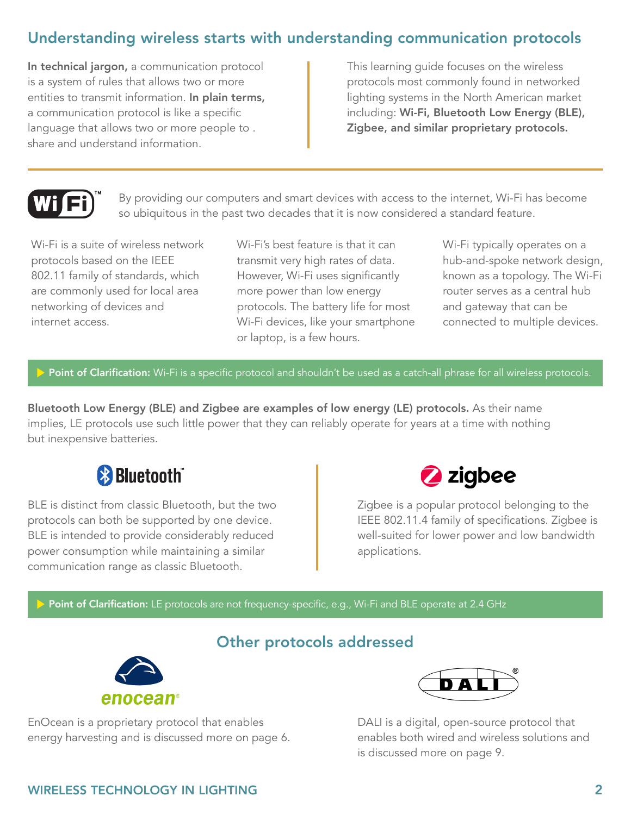### Understanding wireless starts with understanding communication protocols

In technical jargon, a communication protocol is a system of rules that allows two or more entities to transmit information. In plain terms, a communication protocol is like a specific language that allows two or more people to . share and understand information.

This learning guide focuses on the wireless protocols most commonly found in networked lighting systems in the North American market including: Wi-Fi, Bluetooth Low Energy (BLE), Zigbee, and similar proprietary protocols.



By providing our computers and smart devices with access to the internet, Wi-Fi has become so ubiquitous in the past two decades that it is now considered a standard feature.

Wi-Fi is a suite of wireless network protocols based on the IEEE 802.11 family of standards, which are commonly used for local area networking of devices and internet access.

Wi-Fi's best feature is that it can transmit very high rates of data. However, Wi-Fi uses significantly more power than low energy protocols. The battery life for most Wi-Fi devices, like your smartphone or laptop, is a few hours.

Wi-Fi typically operates on a hub-and-spoke network design, known as a topology. The Wi-Fi router serves as a central hub and gateway that can be connected to multiple devices.

#### Point of Clarification: Wi-Fi is a specific protocol and shouldn't be used as a catch-all phrase for all wireless protocols.

Bluetooth Low Energy (BLE) and Zigbee are examples of low energy (LE) protocols. As their name implies, LE protocols use such little power that they can reliably operate for years at a time with nothing but inexpensive batteries.



BLE is distinct from classic Bluetooth, but the two protocols can both be supported by one device. BLE is intended to provide considerably reduced power consumption while maintaining a similar communication range as classic Bluetooth.



Zigbee is a popular protocol belonging to the IEEE 802.11.4 family of specifications. Zigbee is well-suited for lower power and low bandwidth applications.

Point of Clarification: LE protocols are not frequency-specific, e.g., Wi-Fi and BLE operate at 2.4 GHz

### Other protocols addressed



EnOcean is a proprietary protocol that enables energy harvesting and is discussed more on page 6.



DALI is a digital, open-source protocol that enables both wired and wireless solutions and is discussed more on page 9.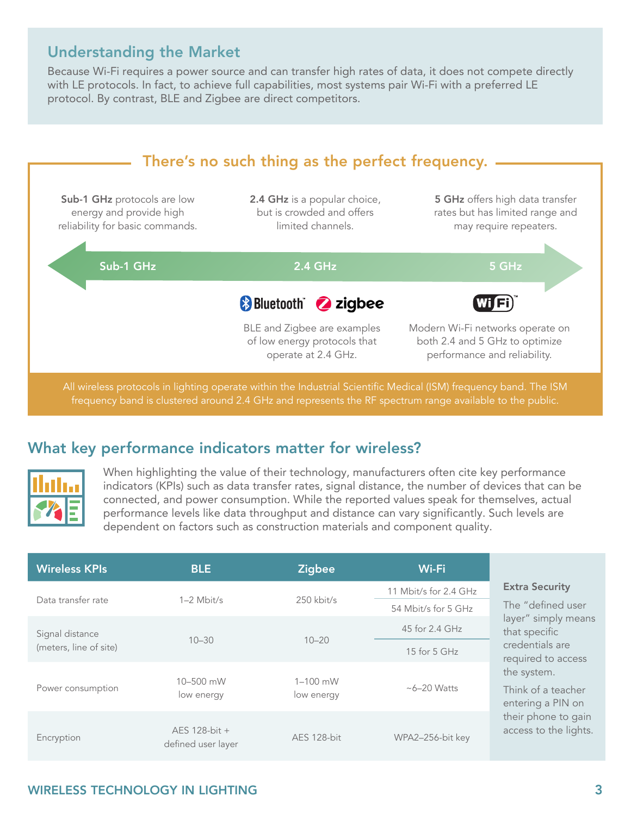### Understanding the Market

Because Wi-Fi requires a power source and can transfer high rates of data, it does not compete directly with LE protocols. In fact, to achieve full capabilities, most systems pair Wi-Fi with a preferred LE protocol. By contrast, BLE and Zigbee are direct competitors.



### What key performance indicators matter for wireless?



When highlighting the value of their technology, manufacturers often cite key performance indicators (KPIs) such as data transfer rates, signal distance, the number of devices that can be connected, and power consumption. While the reported values speak for themselves, actual performance levels like data throughput and distance can vary significantly. Such levels are dependent on factors such as construction materials and component quality.

| <b>Wireless KPIs</b>   | <b>BLE</b>                          | <b>Zigbee</b>              | Wi-Fi                                        |                                                                                                        |
|------------------------|-------------------------------------|----------------------------|----------------------------------------------|--------------------------------------------------------------------------------------------------------|
| Data transfer rate     | $1-2$ Mbit/s                        | $250$ kbit/s               | 11 Mbit/s for 2.4 GHz<br>54 Mbit/s for 5 GHz | <b>Extra Security</b><br>The "defined user<br>layer" simply means<br>that specific                     |
| Signal distance        |                                     |                            | 45 for 2.4 GHz                               |                                                                                                        |
| (meters, line of site) | $10 - 30$                           | $10 - 20$                  | 15 for $5$ GHz                               | credentials are<br>required to access                                                                  |
| Power consumption      | $10 - 500$ mW<br>low energy         | $1 - 100$ mW<br>low energy | $~6 - 20$ Watts                              | the system.<br>Think of a teacher<br>entering a PIN on<br>their phone to gain<br>access to the lights. |
| Encryption             | AES 128-bit +<br>defined user layer | AES 128-bit                | WPA2-256-bit key                             |                                                                                                        |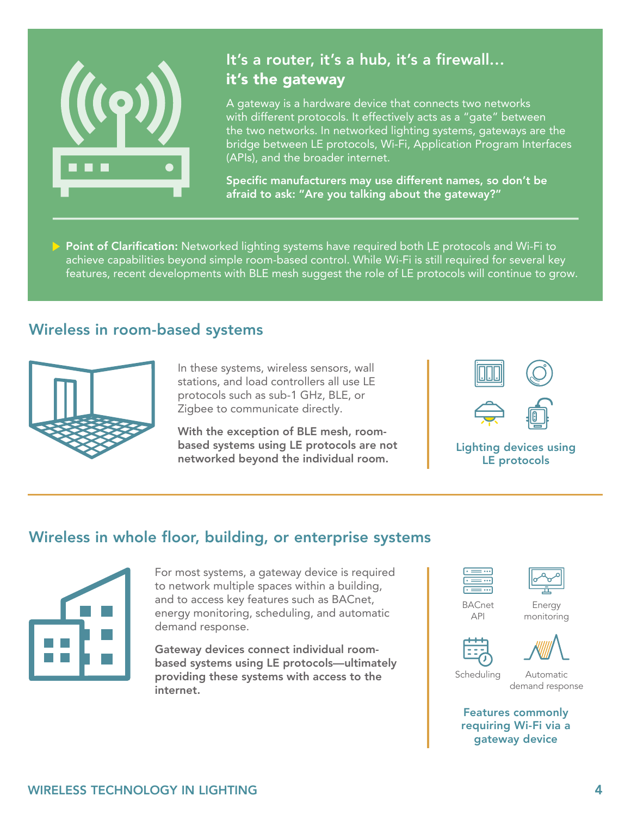

### It's a router, it's a hub, it's a firewall… it's the gateway

A gateway is a hardware device that connects two networks with different protocols. It effectively acts as a "gate" between the two networks. In networked lighting systems, gateways are the bridge between LE protocols, Wi-Fi, Application Program Interfaces (APIs), and the broader internet.

Specific manufacturers may use different names, so don't be afraid to ask: "Are you talking about the gateway?"

Point of Clarification: Networked lighting systems have required both LE protocols and Wi-Fi to achieve capabilities beyond simple room-based control. While Wi-Fi is still required for several key features, recent developments with BLE mesh suggest the role of LE protocols will continue to grow.

### Wireless in room-based systems



In these systems, wireless sensors, wall stations, and load controllers all use LE protocols such as sub-1 GHz, BLE, or Zigbee to communicate directly.

With the exception of BLE mesh, roombased systems using LE protocols are not networked beyond the individual room.



Lighting devices using LE protocols

### Wireless in whole floor, building, or enterprise systems



For most systems, a gateway device is required to network multiple spaces within a building, and to access key features such as BACnet, energy monitoring, scheduling, and automatic demand response.

Gateway devices connect individual roombased systems using LE protocols—ultimately providing these systems with access to the internet.





BACnet API





Automatic demand response

Features commonly requiring Wi-Fi via a gateway device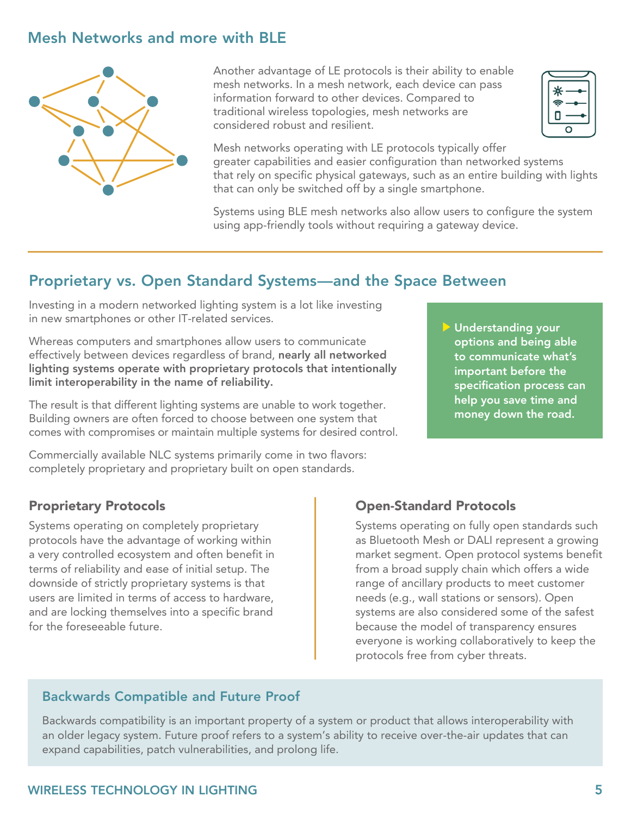### Mesh Networks and more with BLE



Another advantage of LE protocols is their ability to enable mesh networks. In a mesh network, each device can pass information forward to other devices. Compared to traditional wireless topologies, mesh networks are considered robust and resilient.



Mesh networks operating with LE protocols typically offer greater capabilities and easier configuration than networked systems that rely on specific physical gateways, such as an entire building with lights that can only be switched off by a single smartphone.

Systems using BLE mesh networks also allow users to configure the system using app-friendly tools without requiring a gateway device.

### Proprietary vs. Open Standard Systems—and the Space Between

Investing in a modern networked lighting system is a lot like investing in new smartphones or other IT-related services.

Whereas computers and smartphones allow users to communicate effectively between devices regardless of brand, nearly all networked lighting systems operate with proprietary protocols that intentionally limit interoperability in the name of reliability.

The result is that different lighting systems are unable to work together. Building owners are often forced to choose between one system that comes with compromises or maintain multiple systems for desired control.

Commercially available NLC systems primarily come in two flavors: completely proprietary and proprietary built on open standards.

#### Proprietary Protocols

Systems operating on completely proprietary protocols have the advantage of working within a very controlled ecosystem and often benefit in terms of reliability and ease of initial setup. The downside of strictly proprietary systems is that users are limited in terms of access to hardware, and are locking themselves into a specific brand for the foreseeable future.

Understanding your options and being able to communicate what's important before the specification process can help you save time and money down the road.

#### Open-Standard Protocols

Systems operating on fully open standards such as Bluetooth Mesh or DALI represent a growing market segment. Open protocol systems benefit from a broad supply chain which offers a wide range of ancillary products to meet customer needs (e.g., wall stations or sensors). Open systems are also considered some of the safest because the model of transparency ensures everyone is working collaboratively to keep the protocols free from cyber threats.

#### Backwards Compatible and Future Proof

Backwards compatibility is an important property of a system or product that allows interoperability with an older legacy system. Future proof refers to a system's ability to receive over-the-air updates that can expand capabilities, patch vulnerabilities, and prolong life.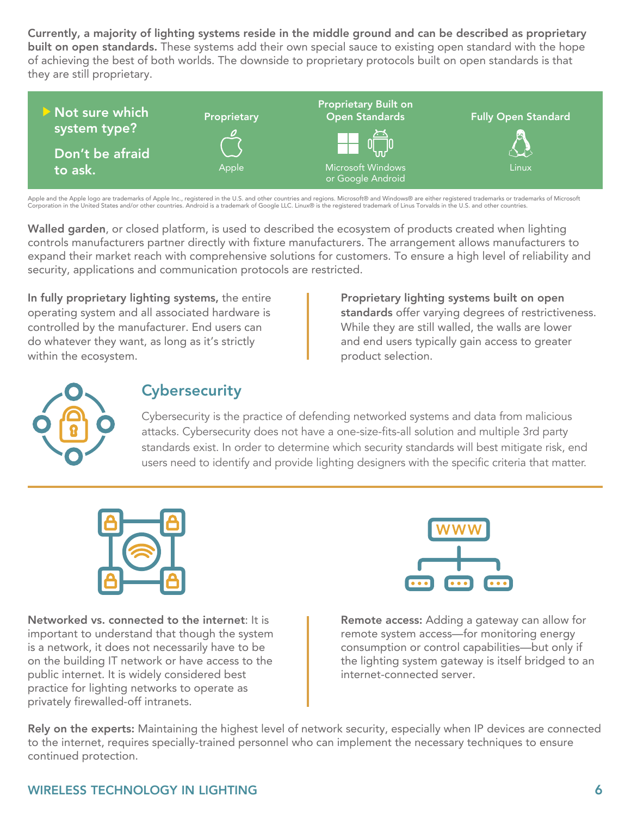Currently, a majority of lighting systems reside in the middle ground and can be described as proprietary built on open standards. These systems add their own special sauce to existing open standard with the hope of achieving the best of both worlds. The downside to proprietary protocols built on open standards is that they are still proprietary.



Apple and the Apple logo are trademarks of Apple Inc., registered in the U.S. and other countries and regions. Microsoft® and Windows® are either registered trademarks or trademarks of Microsoft Corporation in the United States and/or other countries. Android is a trademark of Google LLC. Linux® is the registered trademark of Linus Torvalds in the U.S. and other countries.

Walled garden, or closed platform, is used to described the ecosystem of products created when lighting controls manufacturers partner directly with fixture manufacturers. The arrangement allows manufacturers to expand their market reach with comprehensive solutions for customers. To ensure a high level of reliability and security, applications and communication protocols are restricted.

In fully proprietary lighting systems, the entire operating system and all associated hardware is controlled by the manufacturer. End users can do whatever they want, as long as it's strictly within the ecosystem.

Proprietary lighting systems built on open standards offer varying degrees of restrictiveness. While they are still walled, the walls are lower and end users typically gain access to greater product selection.



### **Cybersecurity**

Cybersecurity is the practice of defending networked systems and data from malicious attacks. Cybersecurity does not have a one-size-fits-all solution and multiple 3rd party standards exist. In order to determine which security standards will best mitigate risk, end users need to identify and provide lighting designers with the specific criteria that matter.



Networked vs. connected to the internet: It is important to understand that though the system is a network, it does not necessarily have to be on the building IT network or have access to the public internet. It is widely considered best practice for lighting networks to operate as privately firewalled-off intranets.



Remote access: Adding a gateway can allow for remote system access—for monitoring energy consumption or control capabilities—but only if the lighting system gateway is itself bridged to an internet-connected server.

Rely on the experts: Maintaining the highest level of network security, especially when IP devices are connected to the internet, requires specially-trained personnel who can implement the necessary techniques to ensure continued protection.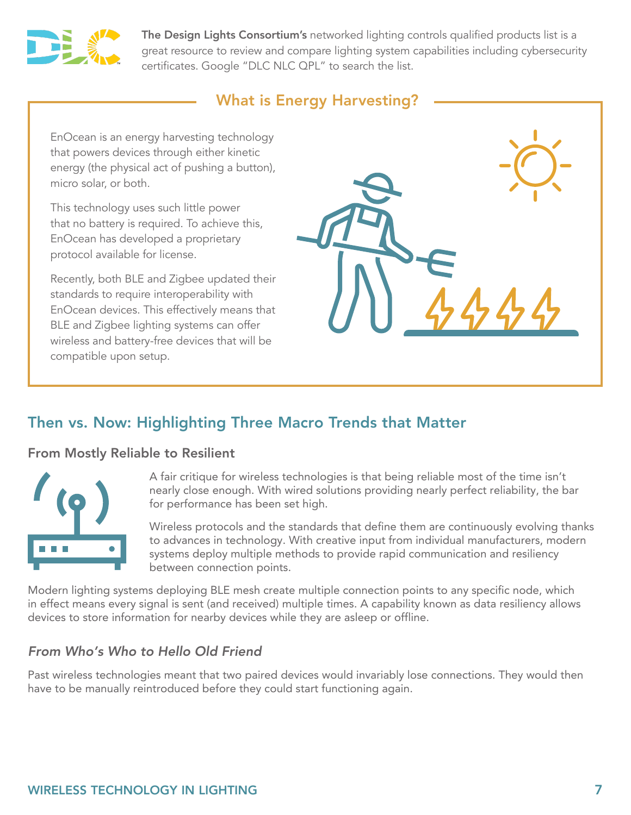

The Design Lights Consortium's networked lighting controls qualified products list is a great resource to review and compare lighting system capabilities including cybersecurity certificates. Google "DLC NLC QPL" to search the list.

### What is Energy Harvesting?

EnOcean is an energy harvesting technology that powers devices through either kinetic energy (the physical act of pushing a button), micro solar, or both.

This technology uses such little power that no battery is required. To achieve this, EnOcean has developed a proprietary protocol available for license.

Recently, both BLE and Zigbee updated their standards to require interoperability with EnOcean devices. This effectively means that BLE and Zigbee lighting systems can offer wireless and battery-free devices that will be compatible upon setup.



### Then vs. Now: Highlighting Three Macro Trends that Matter

#### From Mostly Reliable to Resilient



A fair critique for wireless technologies is that being reliable most of the time isn't nearly close enough. With wired solutions providing nearly perfect reliability, the bar for performance has been set high.

Wireless protocols and the standards that define them are continuously evolving thanks to advances in technology. With creative input from individual manufacturers, modern systems deploy multiple methods to provide rapid communication and resiliency between connection points.

Modern lighting systems deploying BLE mesh create multiple connection points to any specific node, which in effect means every signal is sent (and received) multiple times. A capability known as data resiliency allows devices to store information for nearby devices while they are asleep or offline.

#### *From Who's Who to Hello Old Friend*

Past wireless technologies meant that two paired devices would invariably lose connections. They would then have to be manually reintroduced before they could start functioning again.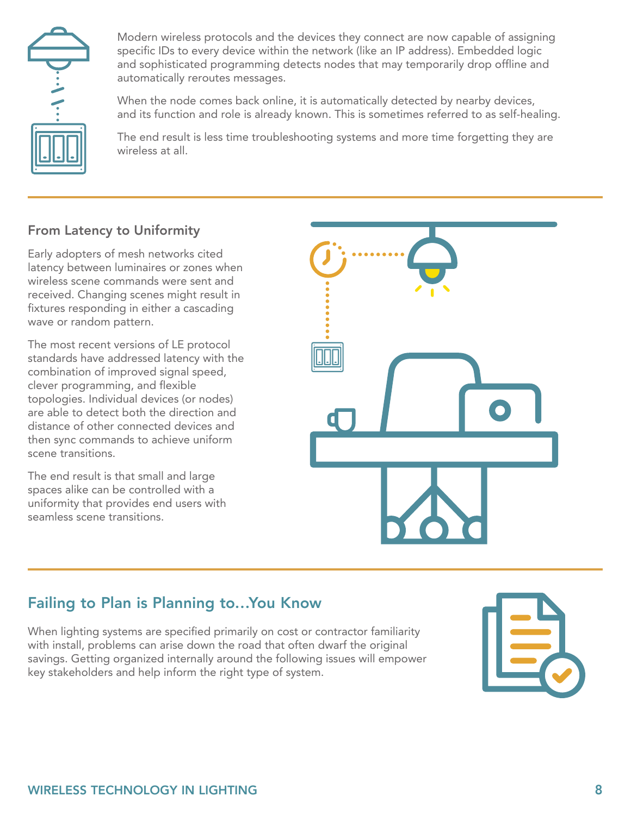

Modern wireless protocols and the devices they connect are now capable of assigning specific IDs to every device within the network (like an IP address). Embedded logic and sophisticated programming detects nodes that may temporarily drop offline and automatically reroutes messages.

When the node comes back online, it is automatically detected by nearby devices, and its function and role is already known. This is sometimes referred to as self-healing.

The end result is less time troubleshooting systems and more time forgetting they are wireless at all.

### From Latency to Uniformity

Early adopters of mesh networks cited latency between luminaires or zones when wireless scene commands were sent and received. Changing scenes might result in fixtures responding in either a cascading wave or random pattern.

The most recent versions of LE protocol standards have addressed latency with the combination of improved signal speed, clever programming, and flexible topologies. Individual devices (or nodes) are able to detect both the direction and distance of other connected devices and then sync commands to achieve uniform scene transitions.

The end result is that small and large spaces alike can be controlled with a uniformity that provides end users with seamless scene transitions.



### Failing to Plan is Planning to…You Know

When lighting systems are specified primarily on cost or contractor familiarity with install, problems can arise down the road that often dwarf the original savings. Getting organized internally around the following issues will empower key stakeholders and help inform the right type of system.

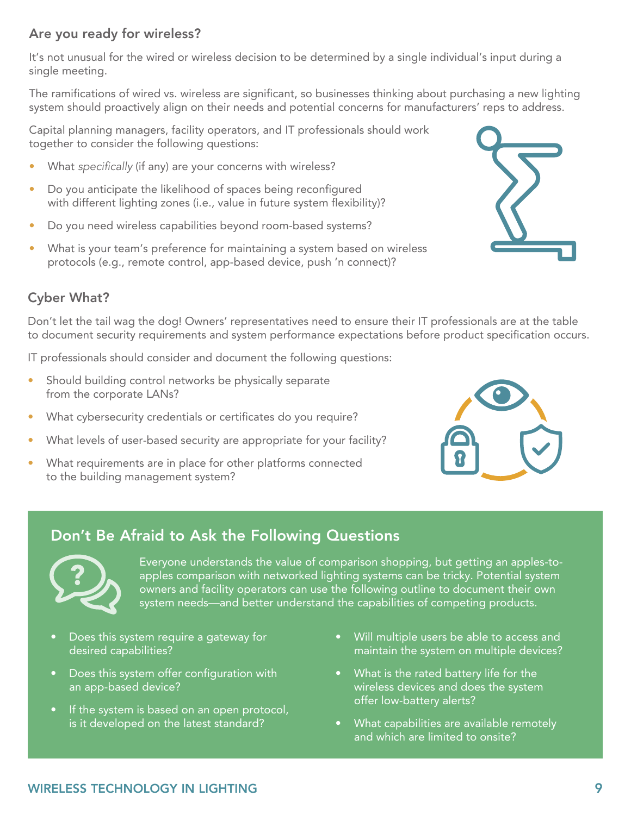#### Are you ready for wireless?

It's not unusual for the wired or wireless decision to be determined by a single individual's input during a single meeting.

The ramifications of wired vs. wireless are significant, so businesses thinking about purchasing a new lighting system should proactively align on their needs and potential concerns for manufacturers' reps to address.

Capital planning managers, facility operators, and IT professionals should work together to consider the following questions:

- What *specifically* (if any) are your concerns with wireless?
- Do you anticipate the likelihood of spaces being reconfigured with different lighting zones (i.e., value in future system flexibility)?
- Do you need wireless capabilities beyond room-based systems?
- What is your team's preference for maintaining a system based on wireless protocols (e.g., remote control, app-based device, push 'n connect)?



#### Cyber What?

Don't let the tail wag the dog! Owners' representatives need to ensure their IT professionals are at the table to document security requirements and system performance expectations before product specification occurs.

IT professionals should consider and document the following questions:

- Should building control networks be physically separate from the corporate LANs?
- What cybersecurity credentials or certificates do you require?
- What levels of user-based security are appropriate for your facility?
- What requirements are in place for other platforms connected to the building management system?



### Don't Be Afraid to Ask the Following Questions



Everyone understands the value of comparison shopping, but getting an apples-toapples comparison with networked lighting systems can be tricky. Potential system owners and facility operators can use the following outline to document their own system needs—and better understand the capabilities of competing products.

- Does this system require a gateway for desired capabilities?
- Does this system offer configuration with an app-based device?
- If the system is based on an open protocol, is it developed on the latest standard?
- Will multiple users be able to access and maintain the system on multiple devices?
- What is the rated battery life for the wireless devices and does the system offer low-battery alerts?
- What capabilities are available remotely and which are limited to onsite?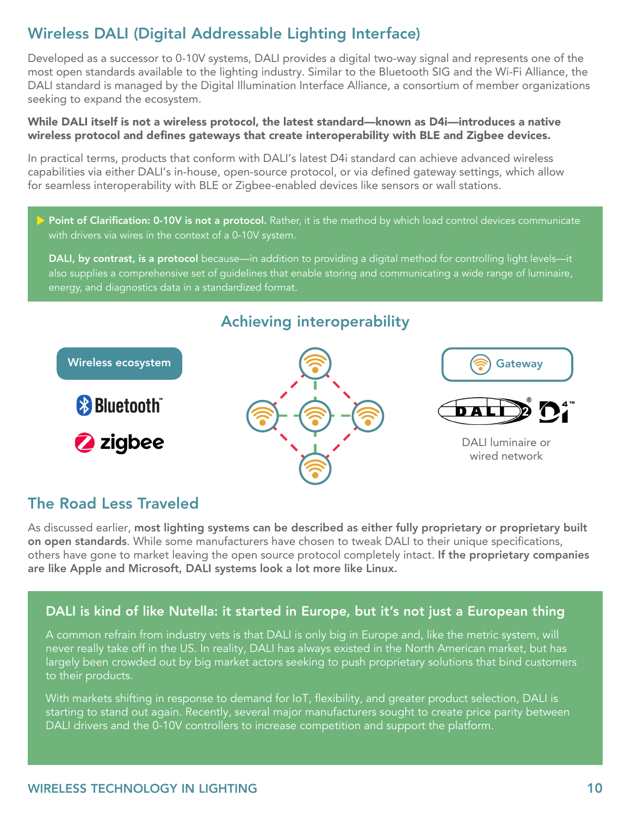### Wireless DALI (Digital Addressable Lighting Interface)

Developed as a successor to 0-10V systems, DALI provides a digital two-way signal and represents one of the most open standards available to the lighting industry. Similar to the Bluetooth SIG and the Wi-Fi Alliance, the DALI standard is managed by the Digital Illumination Interface Alliance, a consortium of member organizations seeking to expand the ecosystem.

#### While DALI itself is not a wireless protocol, the latest standard—known as D4i—introduces a native wireless protocol and defines gateways that create interoperability with BLE and Zigbee devices.

In practical terms, products that conform with DALI's latest D4i standard can achieve advanced wireless capabilities via either DALI's in-house, open-source protocol, or via defined gateway settings, which allow for seamless interoperability with BLE or Zigbee-enabled devices like sensors or wall stations.

Point of Clarification: 0-10V is not a protocol. Rather, it is the method by which load control devices communicate with drivers via wires in the context of a 0-10V system.

DALI, by contrast, is a protocol because—in addition to providing a digital method for controlling light levels—it also supplies a comprehensive set of guidelines that enable storing and communicating a wide range of luminaire, energy, and diagnostics data in a standardized format.

# Achieving interoperability Wireless ecosystem **Gateway** (Gateway Gateway) **& Bluetooth** 2 zigbee DALI luminaire or wired network

### The Road Less Traveled

As discussed earlier, most lighting systems can be described as either fully proprietary or proprietary built on open standards. While some manufacturers have chosen to tweak DALI to their unique specifications, others have gone to market leaving the open source protocol completely intact. If the proprietary companies are like Apple and Microsoft, DALI systems look a lot more like Linux.

#### DALI is kind of like Nutella: it started in Europe, but it's not just a European thing

A common refrain from industry vets is that DALI is only big in Europe and, like the metric system, will never really take off in the US. In reality, DALI has always existed in the North American market, but has largely been crowded out by big market actors seeking to push proprietary solutions that bind customers to their products.

With markets shifting in response to demand for IoT, flexibility, and greater product selection, DALI is starting to stand out again. Recently, several major manufacturers sought to create price parity between DALI drivers and the 0-10V controllers to increase competition and support the platform.